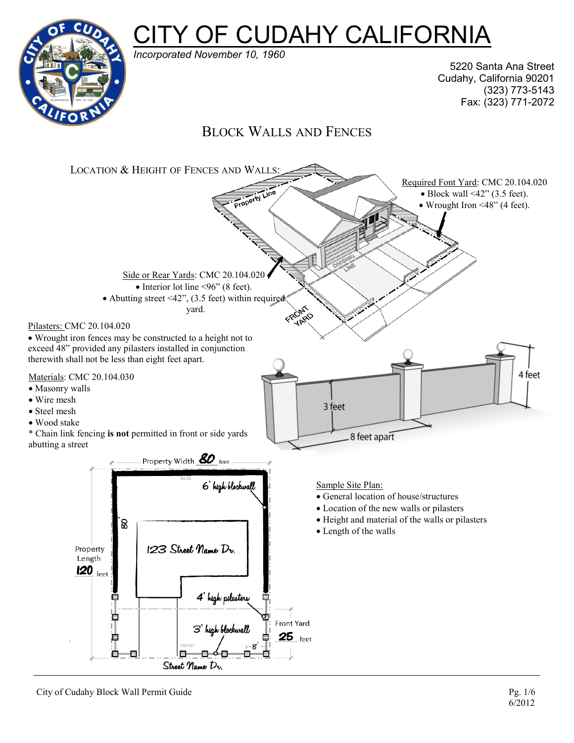



*Incorporated November 10, 1960*

5220 Santa Ana Street Cudahy, California 90201 (323) 773-5143 Fax: (323) 771-2072

# BLOCK WALLS AND FENCES

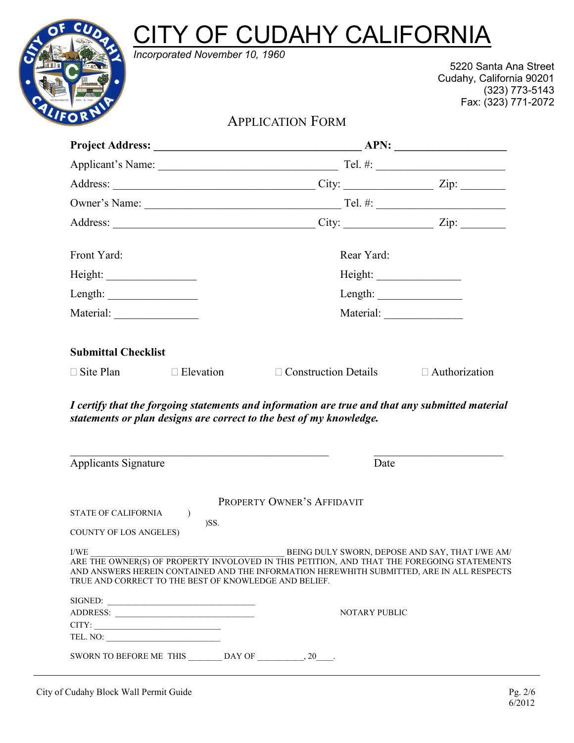# **CITY OF CUDAHY CALIFORNIA** *Incorporated November 10, 1960*



5220 Santa Ana Street Cudahy, California 90201 (323) 773-5143 Fax: (323) 771-2072

# APPLICATION FORM

| Front Yard:                                                                                                                                                                                                                                                                                                                                                                                                                                              |                                                                                    | Rear Yard:                                                                                                                                                                                                                                                                           |                                                                                                                                                                                                                                                                                                                                                                                                              |  |
|----------------------------------------------------------------------------------------------------------------------------------------------------------------------------------------------------------------------------------------------------------------------------------------------------------------------------------------------------------------------------------------------------------------------------------------------------------|------------------------------------------------------------------------------------|--------------------------------------------------------------------------------------------------------------------------------------------------------------------------------------------------------------------------------------------------------------------------------------|--------------------------------------------------------------------------------------------------------------------------------------------------------------------------------------------------------------------------------------------------------------------------------------------------------------------------------------------------------------------------------------------------------------|--|
|                                                                                                                                                                                                                                                                                                                                                                                                                                                          |                                                                                    |                                                                                                                                                                                                                                                                                      |                                                                                                                                                                                                                                                                                                                                                                                                              |  |
| Length: $\frac{1}{\sqrt{1-\frac{1}{2}}\sqrt{1-\frac{1}{2}}\sqrt{1-\frac{1}{2}}\sqrt{1-\frac{1}{2}}\sqrt{1-\frac{1}{2}}\sqrt{1-\frac{1}{2}}\sqrt{1-\frac{1}{2}}\sqrt{1-\frac{1}{2}}\sqrt{1-\frac{1}{2}}\sqrt{1-\frac{1}{2}}\sqrt{1-\frac{1}{2}}\sqrt{1-\frac{1}{2}}\sqrt{1-\frac{1}{2}}\sqrt{1-\frac{1}{2}}\sqrt{1-\frac{1}{2}}\sqrt{1-\frac{1}{2}}\sqrt{1-\frac{1}{2}}\sqrt{1-\frac{1}{2}}\sqrt{1-\frac{1}{$                                             |                                                                                    |                                                                                                                                                                                                                                                                                      | Length: $\frac{1}{\sqrt{1-\frac{1}{2}}\sqrt{1-\frac{1}{2}}\sqrt{1-\frac{1}{2}}\sqrt{1-\frac{1}{2}}\sqrt{1-\frac{1}{2}}\sqrt{1-\frac{1}{2}}\sqrt{1-\frac{1}{2}}\sqrt{1-\frac{1}{2}}\sqrt{1-\frac{1}{2}}\sqrt{1-\frac{1}{2}}\sqrt{1-\frac{1}{2}}\sqrt{1-\frac{1}{2}}\sqrt{1-\frac{1}{2}}\sqrt{1-\frac{1}{2}}\sqrt{1-\frac{1}{2}}\sqrt{1-\frac{1}{2}}\sqrt{1-\frac{1}{2}}\sqrt{1-\frac{1}{2}}\sqrt{1-\frac{1}{$ |  |
|                                                                                                                                                                                                                                                                                                                                                                                                                                                          |                                                                                    |                                                                                                                                                                                                                                                                                      |                                                                                                                                                                                                                                                                                                                                                                                                              |  |
| <b>Submittal Checklist</b><br>$\Box$ Site Plan                                                                                                                                                                                                                                                                                                                                                                                                           | $\Box$ Elevation                                                                   | $\Box$ Construction Details $\Box$ Authorization<br>I certify that the forgoing statements and information are true and that any submitted material<br>statements or plan designs are correct to the best of my knowledge.                                                           |                                                                                                                                                                                                                                                                                                                                                                                                              |  |
| Applicants Signature                                                                                                                                                                                                                                                                                                                                                                                                                                     |                                                                                    | the control of the control of the control of the control of the control of the control of<br>Date                                                                                                                                                                                    |                                                                                                                                                                                                                                                                                                                                                                                                              |  |
| STATE OF CALIFORNIA<br><b>COUNTY OF LOS ANGELES)</b>                                                                                                                                                                                                                                                                                                                                                                                                     | $\lambda$<br>)SS.<br>TRUE AND CORRECT TO THE BEST OF KNOWLEDGE AND BELIEF.         | PROPERTY OWNER'S AFFIDAVIT<br>$\,$ I/WE $\,$ BEING DULY SWORN, DEPOSE AND SAY, THAT I/WE AM/ ARE THE OWNER(S) OF PROPERTY INVOLOVED IN THIS PETITION, AND THAT THE FOREGOING STATEMENTS<br>AND ANSWERS HEREIN CONTAINED AND THE INFORMATION HEREWHITH SUBMITTED, ARE IN ALL RESPECTS |                                                                                                                                                                                                                                                                                                                                                                                                              |  |
| $CITY: \begin{tabular}{ c c c c } \hline \rule{0pt}{8ex} & \rule{0pt}{8ex} & \rule{0pt}{8ex} & \rule{0pt}{8ex} \\ \hline \rule{0pt}{8ex} & \rule{1pt}{8ex} & \rule{1pt}{8ex} \\ \hline \rule{0pt}{8ex} & \rule{1pt}{8ex} & \rule{1pt}{8ex} \\ \hline \rule{0pt}{8ex} & \rule{1pt}{8ex} & \rule{1pt}{8ex} \\ \hline \rule{0pt}{8ex} & \rule{1pt}{8ex} & \rule{1pt}{8ex} \\ \hline \rule{0pt}{8ex} & \rule{1pt}{8ex} & \rule{$<br>TEL. NO: $\qquad \qquad$ | SIGNED:                                                                            | <b>NOTARY PUBLIC</b>                                                                                                                                                                                                                                                                 |                                                                                                                                                                                                                                                                                                                                                                                                              |  |
|                                                                                                                                                                                                                                                                                                                                                                                                                                                          | SWORN TO BEFORE ME THIS $\_\_\_\_\_\_\_\$ DAY OF $\_\_\_\_\_\_$ , 20 $\_\_\_\_\_\$ |                                                                                                                                                                                                                                                                                      |                                                                                                                                                                                                                                                                                                                                                                                                              |  |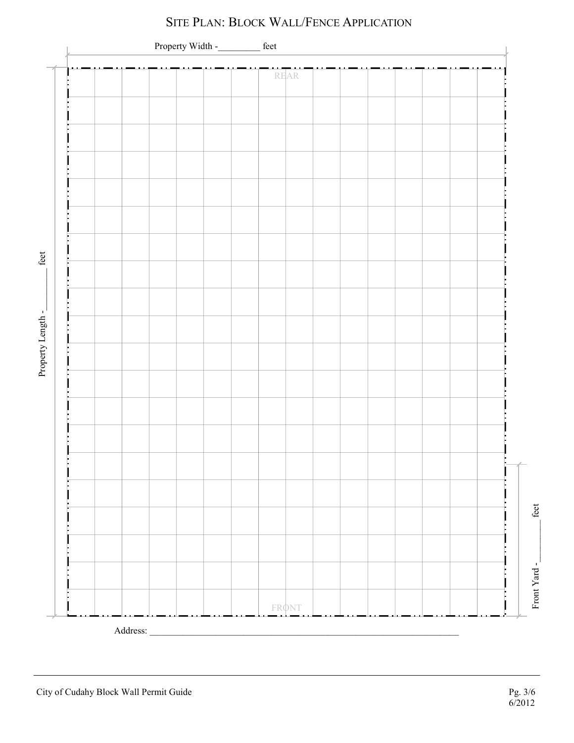

# SITE PLAN: BLOCK WALL/FENCE APPLICATION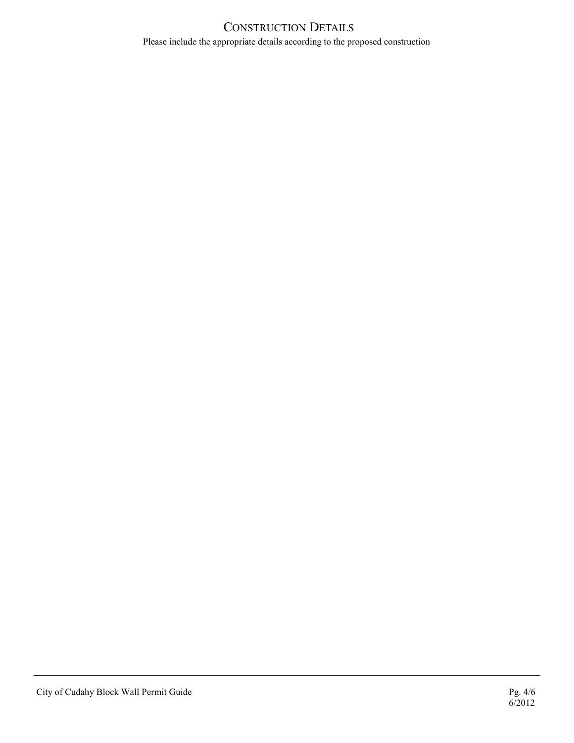#### CONSTRUCTION DETAILS Please include the appropriate details according to the proposed construction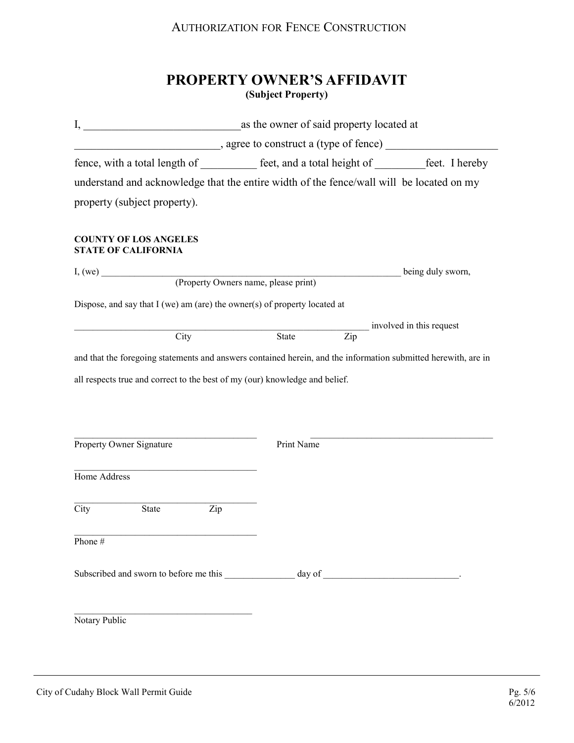## AUTHORIZATION FOR FENCE CONSTRUCTION

# **PROPERTY OWNER'S AFFIDAVIT (Subject Property)**

|                                                                             | $\frac{1}{2}$ , agree to construct a (type of fence) $\frac{1}{2}$                                                 |                          |  |  |  |
|-----------------------------------------------------------------------------|--------------------------------------------------------------------------------------------------------------------|--------------------------|--|--|--|
|                                                                             | fence, with a total length of <u>contract of est</u> , and a total height of <u>contract of the set</u> . I hereby |                          |  |  |  |
|                                                                             | understand and acknowledge that the entire width of the fence/wall will be located on my                           |                          |  |  |  |
| property (subject property).                                                |                                                                                                                    |                          |  |  |  |
| <b>COUNTY OF LOS ANGELES</b><br><b>STATE OF CALIFORNIA</b>                  |                                                                                                                    |                          |  |  |  |
|                                                                             | I, (we) <u>(Property Owners name</u> , please print)                                                               | being duly sworn,        |  |  |  |
|                                                                             |                                                                                                                    |                          |  |  |  |
| Dispose, and say that $I$ (we) am (are) the owner(s) of property located at |                                                                                                                    |                          |  |  |  |
|                                                                             |                                                                                                                    | involved in this request |  |  |  |
| City                                                                        | State<br>Zip                                                                                                       |                          |  |  |  |
|                                                                             | and that the foregoing statements and answers contained herein, and the information submitted herewith, are in     |                          |  |  |  |
|                                                                             | all respects true and correct to the best of my (our) knowledge and belief.                                        |                          |  |  |  |
|                                                                             |                                                                                                                    |                          |  |  |  |
|                                                                             |                                                                                                                    |                          |  |  |  |
| Property Owner Signature                                                    | Print Name                                                                                                         |                          |  |  |  |
| Home Address                                                                |                                                                                                                    |                          |  |  |  |
|                                                                             |                                                                                                                    |                          |  |  |  |
| City<br>State                                                               | Zip                                                                                                                |                          |  |  |  |
| Phone #                                                                     |                                                                                                                    |                          |  |  |  |
|                                                                             |                                                                                                                    |                          |  |  |  |
|                                                                             |                                                                                                                    |                          |  |  |  |
|                                                                             |                                                                                                                    |                          |  |  |  |
| Notary Public                                                               |                                                                                                                    |                          |  |  |  |
|                                                                             |                                                                                                                    |                          |  |  |  |
|                                                                             |                                                                                                                    |                          |  |  |  |
|                                                                             |                                                                                                                    |                          |  |  |  |